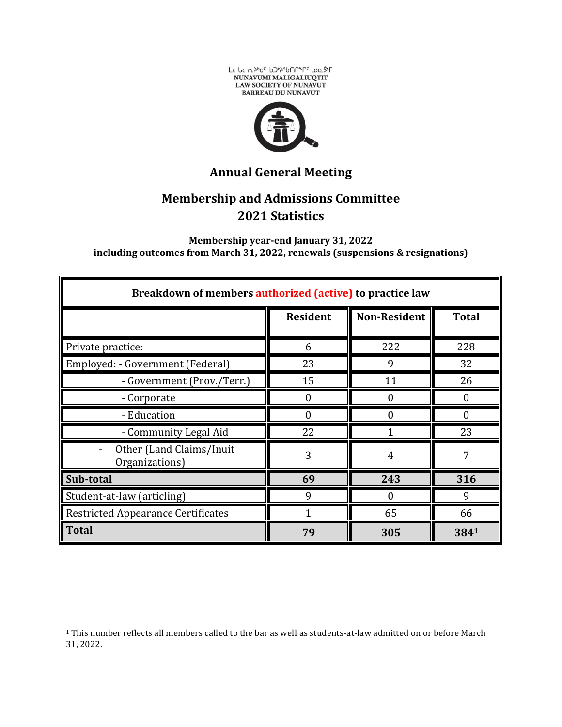



**Annual General Meeting**

## **Membership and Admissions Committee 2021 Statistics**

**Membership year-end January 31, 2022 including outcomes from March 31, 2022, renewals (suspensions & resignations)**

| Breakdown of members authorized (active) to practice law |                 |                     |              |
|----------------------------------------------------------|-----------------|---------------------|--------------|
|                                                          | <b>Resident</b> | <b>Non-Resident</b> | <b>Total</b> |
| Private practice:                                        | 6               | 222                 | 228          |
| Employed: - Government (Federal)                         | 23              | 9                   | 32           |
| - Government (Prov./Terr.)                               | 15              | 11                  | 26           |
| - Corporate                                              | 0               | 0                   |              |
| - Education                                              |                 |                     | $\Omega$     |
| - Community Legal Aid                                    | 22              |                     | 23           |
| Other (Land Claims/Inuit<br>Organizations)               | 3               | 4                   |              |
| Sub-total                                                | 69              | 243                 | 316          |
| Student-at-law (articling)                               | 9               | 0                   | 9            |
| <b>Restricted Appearance Certificates</b>                | 1               | 65                  | 66           |
| <b>Total</b>                                             | 79              | 305                 | 3841         |

<sup>1</sup> This number reflects all members called to the bar as well as students-at-law admitted on or before March 31, 2022.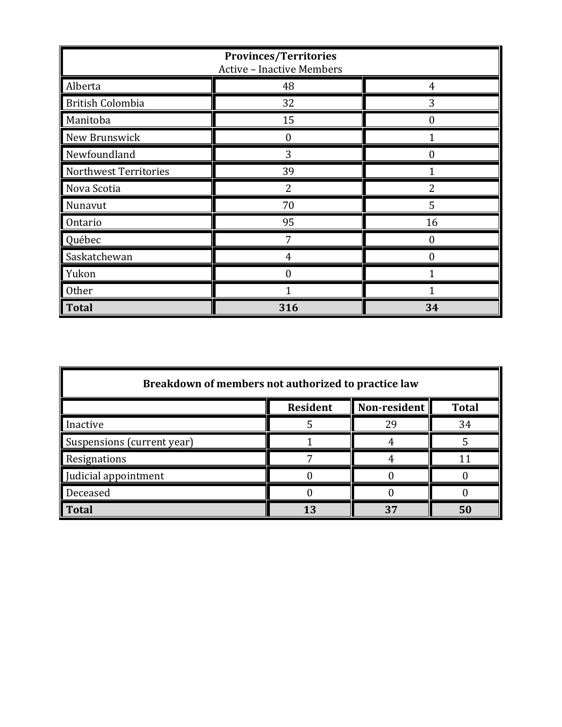| <b>Provinces/Territories</b><br><b>Active - Inactive Members</b> |     |          |
|------------------------------------------------------------------|-----|----------|
| Alberta                                                          | 48  | 4        |
| <b>British Colombia</b>                                          | 32  | 3        |
| Manitoba                                                         | 15  | 0        |
| New Brunswick                                                    | 0   |          |
| Newfoundland                                                     | 3   | $\Omega$ |
| Northwest Territories                                            | 39  |          |
| Nova Scotia                                                      |     |          |
| Nunavut                                                          | 70  | 5        |
| Ontario                                                          | 95  | 16       |
| Québec                                                           |     |          |
| Saskatchewan                                                     | 4   | $\Omega$ |
| Yukon                                                            |     |          |
| <b>Other</b>                                                     |     |          |
| <b>Total</b>                                                     | 316 | 34       |

| Breakdown of members not authorized to practice law |                 |              |              |
|-----------------------------------------------------|-----------------|--------------|--------------|
|                                                     | <b>Resident</b> | Non-resident | <b>Total</b> |
| Inactive                                            |                 | 29           | 34           |
| Suspensions (current year)                          |                 |              |              |
| Resignations                                        |                 |              |              |
| Judicial appointment                                |                 |              |              |
| Deceased                                            |                 |              |              |
| <b>Total</b>                                        |                 | 37           | 50           |

 $\blacksquare$